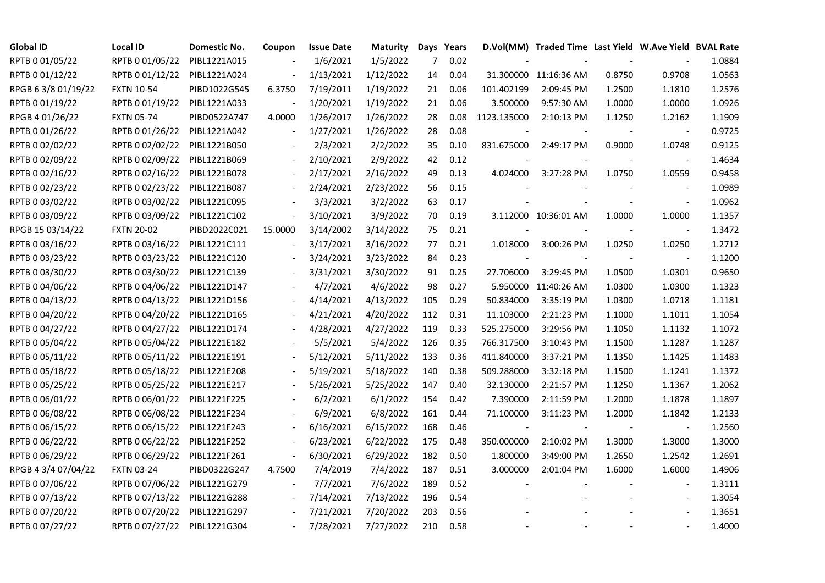| <b>Global ID</b>    | Local ID                     | Domestic No. | Coupon                   | <b>Issue Date</b> | <b>Maturity</b> |     | Days Years |             | D.Vol(MM) Traded Time Last Yield W.Ave Yield BVAL Rate |        |                          |        |
|---------------------|------------------------------|--------------|--------------------------|-------------------|-----------------|-----|------------|-------------|--------------------------------------------------------|--------|--------------------------|--------|
| RPTB 0 01/05/22     | RPTB 0 01/05/22              | PIBL1221A015 |                          | 1/6/2021          | 1/5/2022        | 7   | 0.02       |             |                                                        |        |                          | 1.0884 |
| RPTB 0 01/12/22     | RPTB 0 01/12/22              | PIBL1221A024 |                          | 1/13/2021         | 1/12/2022       | 14  | 0.04       |             | 31.300000 11:16:36 AM                                  | 0.8750 | 0.9708                   | 1.0563 |
| RPGB 63/8 01/19/22  | <b>FXTN 10-54</b>            | PIBD1022G545 | 6.3750                   | 7/19/2011         | 1/19/2022       | 21  | 0.06       | 101.402199  | 2:09:45 PM                                             | 1.2500 | 1.1810                   | 1.2576 |
| RPTB 0 01/19/22     | RPTB 0 01/19/22              | PIBL1221A033 |                          | 1/20/2021         | 1/19/2022       | 21  | 0.06       | 3.500000    | 9:57:30 AM                                             | 1.0000 | 1.0000                   | 1.0926 |
| RPGB 4 01/26/22     | <b>FXTN 05-74</b>            | PIBD0522A747 | 4.0000                   | 1/26/2017         | 1/26/2022       | 28  | 0.08       | 1123.135000 | 2:10:13 PM                                             | 1.1250 | 1.2162                   | 1.1909 |
| RPTB 0 01/26/22     | RPTB 0 01/26/22              | PIBL1221A042 | $\Box$                   | 1/27/2021         | 1/26/2022       | 28  | 0.08       |             |                                                        |        |                          | 0.9725 |
| RPTB 0 02/02/22     | RPTB 0 02/02/22              | PIBL1221B050 |                          | 2/3/2021          | 2/2/2022        | 35  | 0.10       | 831.675000  | 2:49:17 PM                                             | 0.9000 | 1.0748                   | 0.9125 |
| RPTB 0 02/09/22     | RPTB 0 02/09/22              | PIBL1221B069 |                          | 2/10/2021         | 2/9/2022        | 42  | 0.12       |             |                                                        |        | $\overline{\phantom{a}}$ | 1.4634 |
| RPTB 0 02/16/22     | RPTB 0 02/16/22              | PIBL1221B078 |                          | 2/17/2021         | 2/16/2022       | 49  | 0.13       | 4.024000    | 3:27:28 PM                                             | 1.0750 | 1.0559                   | 0.9458 |
| RPTB 0 02/23/22     | RPTB 0 02/23/22              | PIBL1221B087 |                          | 2/24/2021         | 2/23/2022       | 56  | 0.15       |             |                                                        |        |                          | 1.0989 |
| RPTB 0 03/02/22     | RPTB 0 03/02/22              | PIBL1221C095 | $\blacksquare$           | 3/3/2021          | 3/2/2022        | 63  | 0.17       |             |                                                        |        | $\blacksquare$           | 1.0962 |
| RPTB 0 03/09/22     | RPTB 0 03/09/22              | PIBL1221C102 | $\Box$                   | 3/10/2021         | 3/9/2022        | 70  | 0.19       |             | 3.112000 10:36:01 AM                                   | 1.0000 | 1.0000                   | 1.1357 |
| RPGB 15 03/14/22    | <b>FXTN 20-02</b>            | PIBD2022C021 | 15.0000                  | 3/14/2002         | 3/14/2022       | 75  | 0.21       |             |                                                        |        | $\blacksquare$           | 1.3472 |
| RPTB 0 03/16/22     | RPTB 0 03/16/22              | PIBL1221C111 | $\blacksquare$           | 3/17/2021         | 3/16/2022       | 77  | 0.21       | 1.018000    | 3:00:26 PM                                             | 1.0250 | 1.0250                   | 1.2712 |
| RPTB 0 03/23/22     | RPTB 0 03/23/22              | PIBL1221C120 |                          | 3/24/2021         | 3/23/2022       | 84  | 0.23       |             |                                                        |        | $\overline{\phantom{a}}$ | 1.1200 |
| RPTB 0 03/30/22     | RPTB 0 03/30/22              | PIBL1221C139 |                          | 3/31/2021         | 3/30/2022       | 91  | 0.25       | 27.706000   | 3:29:45 PM                                             | 1.0500 | 1.0301                   | 0.9650 |
| RPTB 0 04/06/22     | RPTB 0 04/06/22              | PIBL1221D147 |                          | 4/7/2021          | 4/6/2022        | 98  | 0.27       |             | 5.950000 11:40:26 AM                                   | 1.0300 | 1.0300                   | 1.1323 |
| RPTB 0 04/13/22     | RPTB 0 04/13/22              | PIBL1221D156 | $\overline{\phantom{a}}$ | 4/14/2021         | 4/13/2022       | 105 | 0.29       | 50.834000   | 3:35:19 PM                                             | 1.0300 | 1.0718                   | 1.1181 |
| RPTB 0 04/20/22     | RPTB 0 04/20/22              | PIBL1221D165 |                          | 4/21/2021         | 4/20/2022       | 112 | 0.31       | 11.103000   | 2:21:23 PM                                             | 1.1000 | 1.1011                   | 1.1054 |
| RPTB 0 04/27/22     | RPTB 0 04/27/22              | PIBL1221D174 |                          | 4/28/2021         | 4/27/2022       | 119 | 0.33       | 525.275000  | 3:29:56 PM                                             | 1.1050 | 1.1132                   | 1.1072 |
| RPTB 0 05/04/22     | RPTB 0 05/04/22              | PIBL1221E182 |                          | 5/5/2021          | 5/4/2022        | 126 | 0.35       | 766.317500  | 3:10:43 PM                                             | 1.1500 | 1.1287                   | 1.1287 |
| RPTB 0 05/11/22     | RPTB 0 05/11/22              | PIBL1221E191 |                          | 5/12/2021         | 5/11/2022       | 133 | 0.36       | 411.840000  | 3:37:21 PM                                             | 1.1350 | 1.1425                   | 1.1483 |
| RPTB 0 05/18/22     | RPTB 0 05/18/22              | PIBL1221E208 |                          | 5/19/2021         | 5/18/2022       | 140 | 0.38       | 509.288000  | 3:32:18 PM                                             | 1.1500 | 1.1241                   | 1.1372 |
| RPTB 0 05/25/22     | RPTB 0 05/25/22              | PIBL1221E217 |                          | 5/26/2021         | 5/25/2022       | 147 | 0.40       | 32.130000   | 2:21:57 PM                                             | 1.1250 | 1.1367                   | 1.2062 |
| RPTB 0 06/01/22     | RPTB 0 06/01/22              | PIBL1221F225 | $\overline{\phantom{a}}$ | 6/2/2021          | 6/1/2022        | 154 | 0.42       | 7.390000    | 2:11:59 PM                                             | 1.2000 | 1.1878                   | 1.1897 |
| RPTB 0 06/08/22     | RPTB 0 06/08/22              | PIBL1221F234 |                          | 6/9/2021          | 6/8/2022        | 161 | 0.44       | 71.100000   | 3:11:23 PM                                             | 1.2000 | 1.1842                   | 1.2133 |
| RPTB 0 06/15/22     | RPTB 0 06/15/22              | PIBL1221F243 |                          | 6/16/2021         | 6/15/2022       | 168 | 0.46       |             |                                                        |        | $\blacksquare$           | 1.2560 |
| RPTB 0 06/22/22     | RPTB 0 06/22/22              | PIBL1221F252 | $\overline{\phantom{a}}$ | 6/23/2021         | 6/22/2022       | 175 | 0.48       | 350.000000  | 2:10:02 PM                                             | 1.3000 | 1.3000                   | 1.3000 |
| RPTB 0 06/29/22     | RPTB 0 06/29/22              | PIBL1221F261 | $\blacksquare$           | 6/30/2021         | 6/29/2022       | 182 | 0.50       | 1.800000    | 3:49:00 PM                                             | 1.2650 | 1.2542                   | 1.2691 |
| RPGB 4 3/4 07/04/22 | <b>FXTN 03-24</b>            | PIBD0322G247 | 4.7500                   | 7/4/2019          | 7/4/2022        | 187 | 0.51       | 3.000000    | 2:01:04 PM                                             | 1.6000 | 1.6000                   | 1.4906 |
| RPTB 0 07/06/22     | RPTB 0 07/06/22              | PIBL1221G279 |                          | 7/7/2021          | 7/6/2022        | 189 | 0.52       |             |                                                        |        |                          | 1.3111 |
| RPTB 0 07/13/22     | RPTB 0 07/13/22              | PIBL1221G288 | $\overline{\phantom{a}}$ | 7/14/2021         | 7/13/2022       | 196 | 0.54       |             |                                                        |        | $\overline{\phantom{a}}$ | 1.3054 |
| RPTB 0 07/20/22     | RPTB 0 07/20/22              | PIBL1221G297 |                          | 7/21/2021         | 7/20/2022       | 203 | 0.56       |             |                                                        |        |                          | 1.3651 |
| RPTB 0 07/27/22     | RPTB 0 07/27/22 PIBL1221G304 |              |                          | 7/28/2021         | 7/27/2022       | 210 | 0.58       |             |                                                        |        |                          | 1.4000 |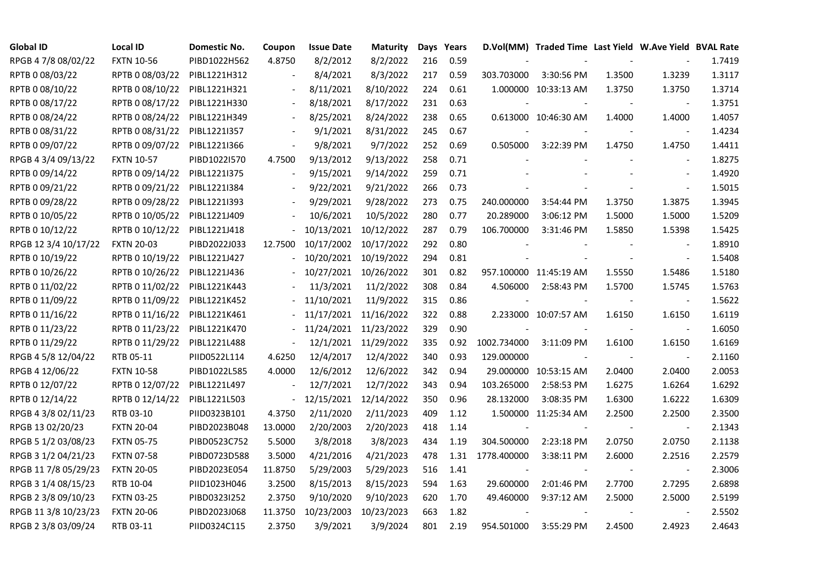| <b>Global ID</b>     | <b>Local ID</b>   | Domestic No. | Coupon                   | <b>Issue Date</b> | <b>Maturity</b>      |     | Days Years |             | D.Vol(MM) Traded Time Last Yield W.Ave Yield BVAL Rate |        |                |        |
|----------------------|-------------------|--------------|--------------------------|-------------------|----------------------|-----|------------|-------------|--------------------------------------------------------|--------|----------------|--------|
| RPGB 4 7/8 08/02/22  | <b>FXTN 10-56</b> | PIBD1022H562 | 4.8750                   | 8/2/2012          | 8/2/2022             | 216 | 0.59       |             |                                                        |        |                | 1.7419 |
| RPTB 0 08/03/22      | RPTB 0 08/03/22   | PIBL1221H312 |                          | 8/4/2021          | 8/3/2022             | 217 | 0.59       | 303.703000  | 3:30:56 PM                                             | 1.3500 | 1.3239         | 1.3117 |
| RPTB 0 08/10/22      | RPTB 0 08/10/22   | PIBL1221H321 | $\blacksquare$           | 8/11/2021         | 8/10/2022            | 224 | 0.61       |             | 1.000000 10:33:13 AM                                   | 1.3750 | 1.3750         | 1.3714 |
| RPTB 0 08/17/22      | RPTB 0 08/17/22   | PIBL1221H330 | $\overline{\phantom{a}}$ | 8/18/2021         | 8/17/2022            | 231 | 0.63       |             |                                                        |        |                | 1.3751 |
| RPTB 0 08/24/22      | RPTB 0 08/24/22   | PIBL1221H349 | $\overline{\phantom{a}}$ | 8/25/2021         | 8/24/2022            | 238 | 0.65       |             | 0.613000 10:46:30 AM                                   | 1.4000 | 1.4000         | 1.4057 |
| RPTB 0 08/31/22      | RPTB 0 08/31/22   | PIBL1221I357 |                          | 9/1/2021          | 8/31/2022            | 245 | 0.67       |             |                                                        |        |                | 1.4234 |
| RPTB 0 09/07/22      | RPTB 0 09/07/22   | PIBL1221I366 | $\blacksquare$           | 9/8/2021          | 9/7/2022             | 252 | 0.69       | 0.505000    | 3:22:39 PM                                             | 1.4750 | 1.4750         | 1.4411 |
| RPGB 4 3/4 09/13/22  | <b>FXTN 10-57</b> | PIBD1022I570 | 4.7500                   | 9/13/2012         | 9/13/2022            | 258 | 0.71       |             |                                                        |        | $\blacksquare$ | 1.8275 |
| RPTB 0 09/14/22      | RPTB 0 09/14/22   | PIBL1221I375 |                          | 9/15/2021         | 9/14/2022            | 259 | 0.71       |             |                                                        |        |                | 1.4920 |
| RPTB 0 09/21/22      | RPTB 0 09/21/22   | PIBL1221I384 |                          | 9/22/2021         | 9/21/2022            | 266 | 0.73       |             |                                                        |        | $\blacksquare$ | 1.5015 |
| RPTB 0 09/28/22      | RPTB 0 09/28/22   | PIBL1221I393 | $\overline{\phantom{a}}$ | 9/29/2021         | 9/28/2022            | 273 | 0.75       | 240.000000  | 3:54:44 PM                                             | 1.3750 | 1.3875         | 1.3945 |
| RPTB 0 10/05/22      | RPTB 0 10/05/22   | PIBL1221J409 |                          | 10/6/2021         | 10/5/2022            | 280 | 0.77       | 20.289000   | 3:06:12 PM                                             | 1.5000 | 1.5000         | 1.5209 |
| RPTB 0 10/12/22      | RPTB 0 10/12/22   | PIBL1221J418 |                          | 10/13/2021        | 10/12/2022           | 287 | 0.79       | 106.700000  | 3:31:46 PM                                             | 1.5850 | 1.5398         | 1.5425 |
| RPGB 12 3/4 10/17/22 | <b>FXTN 20-03</b> | PIBD2022J033 | 12.7500                  | 10/17/2002        | 10/17/2022           | 292 | 0.80       |             |                                                        |        | $\blacksquare$ | 1.8910 |
| RPTB 0 10/19/22      | RPTB 0 10/19/22   | PIBL1221J427 |                          | 10/20/2021        | 10/19/2022           | 294 | 0.81       |             |                                                        |        | $\blacksquare$ | 1.5408 |
| RPTB 0 10/26/22      | RPTB 0 10/26/22   | PIBL1221J436 |                          | 10/27/2021        | 10/26/2022           | 301 | 0.82       |             | 957.100000 11:45:19 AM                                 | 1.5550 | 1.5486         | 1.5180 |
| RPTB 0 11/02/22      | RPTB 0 11/02/22   | PIBL1221K443 |                          | 11/3/2021         | 11/2/2022            | 308 | 0.84       | 4.506000    | 2:58:43 PM                                             | 1.5700 | 1.5745         | 1.5763 |
| RPTB 0 11/09/22      | RPTB 0 11/09/22   | PIBL1221K452 |                          | 11/10/2021        | 11/9/2022            | 315 | 0.86       |             |                                                        |        |                | 1.5622 |
| RPTB 0 11/16/22      | RPTB 0 11/16/22   | PIBL1221K461 |                          | 11/17/2021        | 11/16/2022           | 322 | 0.88       |             | 2.233000 10:07:57 AM                                   | 1.6150 | 1.6150         | 1.6119 |
| RPTB 0 11/23/22      | RPTB 0 11/23/22   | PIBL1221K470 |                          | 11/24/2021        | 11/23/2022           | 329 | 0.90       |             |                                                        |        | $\blacksquare$ | 1.6050 |
| RPTB 0 11/29/22      | RPTB 0 11/29/22   | PIBL1221L488 | $\blacksquare$           |                   | 12/1/2021 11/29/2022 | 335 | 0.92       | 1002.734000 | 3:11:09 PM                                             | 1.6100 | 1.6150         | 1.6169 |
| RPGB 4 5/8 12/04/22  | RTB 05-11         | PIID0522L114 | 4.6250                   | 12/4/2017         | 12/4/2022            | 340 | 0.93       | 129.000000  |                                                        |        | $\sim$         | 2.1160 |
| RPGB 4 12/06/22      | <b>FXTN 10-58</b> | PIBD1022L585 | 4.0000                   | 12/6/2012         | 12/6/2022            | 342 | 0.94       |             | 29.000000 10:53:15 AM                                  | 2.0400 | 2.0400         | 2.0053 |
| RPTB 0 12/07/22      | RPTB 0 12/07/22   | PIBL1221L497 |                          | 12/7/2021         | 12/7/2022            | 343 | 0.94       | 103.265000  | 2:58:53 PM                                             | 1.6275 | 1.6264         | 1.6292 |
| RPTB 0 12/14/22      | RPTB 0 12/14/22   | PIBL1221L503 | $\blacksquare$           | 12/15/2021        | 12/14/2022           | 350 | 0.96       | 28.132000   | 3:08:35 PM                                             | 1.6300 | 1.6222         | 1.6309 |
| RPGB 4 3/8 02/11/23  | RTB 03-10         | PIID0323B101 | 4.3750                   | 2/11/2020         | 2/11/2023            | 409 | 1.12       |             | 1.500000 11:25:34 AM                                   | 2.2500 | 2.2500         | 2.3500 |
| RPGB 13 02/20/23     | <b>FXTN 20-04</b> | PIBD2023B048 | 13.0000                  | 2/20/2003         | 2/20/2023            | 418 | 1.14       |             |                                                        |        | $\blacksquare$ | 2.1343 |
| RPGB 5 1/2 03/08/23  | <b>FXTN 05-75</b> | PIBD0523C752 | 5.5000                   | 3/8/2018          | 3/8/2023             | 434 | 1.19       | 304.500000  | 2:23:18 PM                                             | 2.0750 | 2.0750         | 2.1138 |
| RPGB 3 1/2 04/21/23  | <b>FXTN 07-58</b> | PIBD0723D588 | 3.5000                   | 4/21/2016         | 4/21/2023            | 478 | 1.31       | 1778.400000 | 3:38:11 PM                                             | 2.6000 | 2.2516         | 2.2579 |
| RPGB 11 7/8 05/29/23 | <b>FXTN 20-05</b> | PIBD2023E054 | 11.8750                  | 5/29/2003         | 5/29/2023            | 516 | 1.41       |             |                                                        |        |                | 2.3006 |
| RPGB 3 1/4 08/15/23  | RTB 10-04         | PIID1023H046 | 3.2500                   | 8/15/2013         | 8/15/2023            | 594 | 1.63       | 29.600000   | 2:01:46 PM                                             | 2.7700 | 2.7295         | 2.6898 |
| RPGB 2 3/8 09/10/23  | <b>FXTN 03-25</b> | PIBD0323I252 | 2.3750                   | 9/10/2020         | 9/10/2023            | 620 | 1.70       | 49.460000   | 9:37:12 AM                                             | 2.5000 | 2.5000         | 2.5199 |
| RPGB 11 3/8 10/23/23 | <b>FXTN 20-06</b> | PIBD2023J068 | 11.3750                  | 10/23/2003        | 10/23/2023           | 663 | 1.82       |             |                                                        |        |                | 2.5502 |
| RPGB 2 3/8 03/09/24  | RTB 03-11         | PIID0324C115 | 2.3750                   | 3/9/2021          | 3/9/2024             | 801 | 2.19       | 954.501000  | 3:55:29 PM                                             | 2.4500 | 2.4923         | 2.4643 |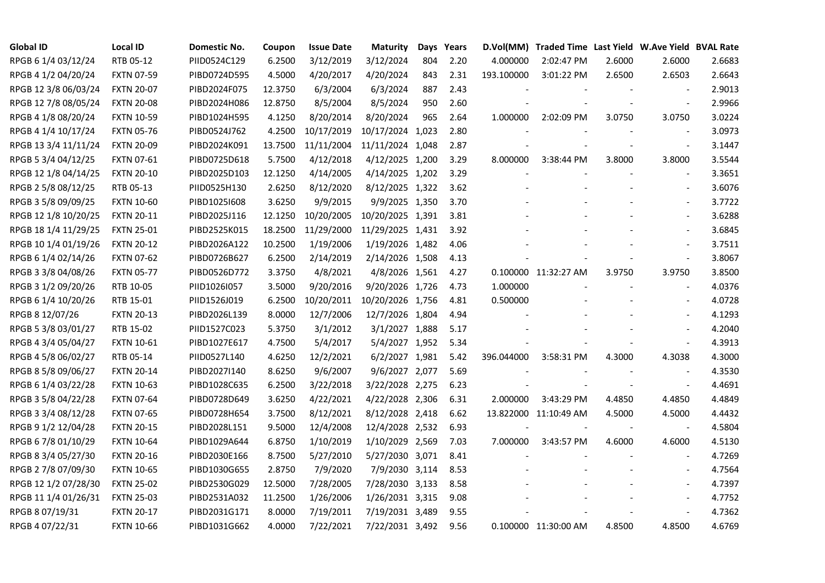| <b>Global ID</b>     | <b>Local ID</b>   | Domestic No. | Coupon  | <b>Issue Date</b> | <b>Maturity</b>  | Days | Years |            | D.Vol(MM) Traded Time Last Yield W.Ave Yield BVAL Rate |        |                          |        |
|----------------------|-------------------|--------------|---------|-------------------|------------------|------|-------|------------|--------------------------------------------------------|--------|--------------------------|--------|
| RPGB 6 1/4 03/12/24  | RTB 05-12         | PIID0524C129 | 6.2500  | 3/12/2019         | 3/12/2024        | 804  | 2.20  | 4.000000   | 2:02:47 PM                                             | 2.6000 | 2.6000                   | 2.6683 |
| RPGB 4 1/2 04/20/24  | <b>FXTN 07-59</b> | PIBD0724D595 | 4.5000  | 4/20/2017         | 4/20/2024        | 843  | 2.31  | 193.100000 | 3:01:22 PM                                             | 2.6500 | 2.6503                   | 2.6643 |
| RPGB 12 3/8 06/03/24 | <b>FXTN 20-07</b> | PIBD2024F075 | 12.3750 | 6/3/2004          | 6/3/2024         | 887  | 2.43  |            |                                                        |        |                          | 2.9013 |
| RPGB 12 7/8 08/05/24 | <b>FXTN 20-08</b> | PIBD2024H086 | 12.8750 | 8/5/2004          | 8/5/2024         | 950  | 2.60  |            |                                                        |        | $\blacksquare$           | 2.9966 |
| RPGB 4 1/8 08/20/24  | <b>FXTN 10-59</b> | PIBD1024H595 | 4.1250  | 8/20/2014         | 8/20/2024        | 965  | 2.64  | 1.000000   | 2:02:09 PM                                             | 3.0750 | 3.0750                   | 3.0224 |
| RPGB 4 1/4 10/17/24  | <b>FXTN 05-76</b> | PIBD0524J762 | 4.2500  | 10/17/2019        | 10/17/2024 1,023 |      | 2.80  |            |                                                        |        |                          | 3.0973 |
| RPGB 13 3/4 11/11/24 | <b>FXTN 20-09</b> | PIBD2024K091 | 13.7500 | 11/11/2004        | 11/11/2024 1,048 |      | 2.87  |            |                                                        |        | $\sim$                   | 3.1447 |
| RPGB 5 3/4 04/12/25  | <b>FXTN 07-61</b> | PIBD0725D618 | 5.7500  | 4/12/2018         | 4/12/2025 1,200  |      | 3.29  | 8.000000   | 3:38:44 PM                                             | 3.8000 | 3.8000                   | 3.5544 |
| RPGB 12 1/8 04/14/25 | <b>FXTN 20-10</b> | PIBD2025D103 | 12.1250 | 4/14/2005         | 4/14/2025 1,202  |      | 3.29  |            |                                                        |        |                          | 3.3651 |
| RPGB 2 5/8 08/12/25  | RTB 05-13         | PIID0525H130 | 2.6250  | 8/12/2020         | 8/12/2025 1,322  |      | 3.62  |            |                                                        |        |                          | 3.6076 |
| RPGB 3 5/8 09/09/25  | <b>FXTN 10-60</b> | PIBD10251608 | 3.6250  | 9/9/2015          | 9/9/2025 1,350   |      | 3.70  |            |                                                        |        | $\blacksquare$           | 3.7722 |
| RPGB 12 1/8 10/20/25 | <b>FXTN 20-11</b> | PIBD2025J116 | 12.1250 | 10/20/2005        | 10/20/2025 1,391 |      | 3.81  |            |                                                        |        |                          | 3.6288 |
| RPGB 18 1/4 11/29/25 | <b>FXTN 25-01</b> | PIBD2525K015 | 18.2500 | 11/29/2000        | 11/29/2025 1,431 |      | 3.92  |            |                                                        |        | $\blacksquare$           | 3.6845 |
| RPGB 10 1/4 01/19/26 | <b>FXTN 20-12</b> | PIBD2026A122 | 10.2500 | 1/19/2006         | 1/19/2026 1,482  |      | 4.06  |            |                                                        |        |                          | 3.7511 |
| RPGB 6 1/4 02/14/26  | <b>FXTN 07-62</b> | PIBD0726B627 | 6.2500  | 2/14/2019         | 2/14/2026 1,508  |      | 4.13  |            |                                                        |        | $\sim$                   | 3.8067 |
| RPGB 3 3/8 04/08/26  | <b>FXTN 05-77</b> | PIBD0526D772 | 3.3750  | 4/8/2021          | 4/8/2026 1,561   |      | 4.27  |            | 0.100000 11:32:27 AM                                   | 3.9750 | 3.9750                   | 3.8500 |
| RPGB 3 1/2 09/20/26  | RTB 10-05         | PIID1026I057 | 3.5000  | 9/20/2016         | 9/20/2026 1,726  |      | 4.73  | 1.000000   |                                                        |        |                          | 4.0376 |
| RPGB 6 1/4 10/20/26  | RTB 15-01         | PIID1526J019 | 6.2500  | 10/20/2011        | 10/20/2026 1,756 |      | 4.81  | 0.500000   |                                                        |        |                          | 4.0728 |
| RPGB 8 12/07/26      | <b>FXTN 20-13</b> | PIBD2026L139 | 8.0000  | 12/7/2006         | 12/7/2026 1,804  |      | 4.94  |            |                                                        |        | $\sim$                   | 4.1293 |
| RPGB 5 3/8 03/01/27  | RTB 15-02         | PIID1527C023 | 5.3750  | 3/1/2012          | 3/1/2027 1,888   |      | 5.17  |            |                                                        |        | $\blacksquare$           | 4.2040 |
| RPGB 4 3/4 05/04/27  | <b>FXTN 10-61</b> | PIBD1027E617 | 4.7500  | 5/4/2017          | 5/4/2027 1,952   |      | 5.34  |            | $\overline{\phantom{a}}$                               |        | $\sim$                   | 4.3913 |
| RPGB 4 5/8 06/02/27  | RTB 05-14         | PIID0527L140 | 4.6250  | 12/2/2021         | 6/2/2027 1,981   |      | 5.42  | 396.044000 | 3:58:31 PM                                             | 4.3000 | 4.3038                   | 4.3000 |
| RPGB 8 5/8 09/06/27  | <b>FXTN 20-14</b> | PIBD2027I140 | 8.6250  | 9/6/2007          | 9/6/2027 2,077   |      | 5.69  |            |                                                        |        |                          | 4.3530 |
| RPGB 6 1/4 03/22/28  | <b>FXTN 10-63</b> | PIBD1028C635 | 6.2500  | 3/22/2018         | 3/22/2028 2,275  |      | 6.23  |            |                                                        |        |                          | 4.4691 |
| RPGB 3 5/8 04/22/28  | <b>FXTN 07-64</b> | PIBD0728D649 | 3.6250  | 4/22/2021         | 4/22/2028 2,306  |      | 6.31  | 2.000000   | 3:43:29 PM                                             | 4.4850 | 4.4850                   | 4.4849 |
| RPGB 3 3/4 08/12/28  | <b>FXTN 07-65</b> | PIBD0728H654 | 3.7500  | 8/12/2021         | 8/12/2028 2,418  |      | 6.62  |            | 13.822000 11:10:49 AM                                  | 4.5000 | 4.5000                   | 4.4432 |
| RPGB 9 1/2 12/04/28  | <b>FXTN 20-15</b> | PIBD2028L151 | 9.5000  | 12/4/2008         | 12/4/2028 2,532  |      | 6.93  |            |                                                        |        | $\overline{\phantom{a}}$ | 4.5804 |
| RPGB 6 7/8 01/10/29  | <b>FXTN 10-64</b> | PIBD1029A644 | 6.8750  | 1/10/2019         | 1/10/2029 2,569  |      | 7.03  | 7.000000   | 3:43:57 PM                                             | 4.6000 | 4.6000                   | 4.5130 |
| RPGB 8 3/4 05/27/30  | <b>FXTN 20-16</b> | PIBD2030E166 | 8.7500  | 5/27/2010         | 5/27/2030 3,071  |      | 8.41  |            |                                                        |        |                          | 4.7269 |
| RPGB 2 7/8 07/09/30  | <b>FXTN 10-65</b> | PIBD1030G655 | 2.8750  | 7/9/2020          | 7/9/2030 3,114   |      | 8.53  |            |                                                        |        |                          | 4.7564 |
| RPGB 12 1/2 07/28/30 | <b>FXTN 25-02</b> | PIBD2530G029 | 12.5000 | 7/28/2005         | 7/28/2030 3,133  |      | 8.58  |            |                                                        |        |                          | 4.7397 |
| RPGB 11 1/4 01/26/31 | <b>FXTN 25-03</b> | PIBD2531A032 | 11.2500 | 1/26/2006         | 1/26/2031 3,315  |      | 9.08  |            |                                                        |        |                          | 4.7752 |
| RPGB 8 07/19/31      | <b>FXTN 20-17</b> | PIBD2031G171 | 8.0000  | 7/19/2011         | 7/19/2031 3,489  |      | 9.55  |            |                                                        |        | $\sim$                   | 4.7362 |
| RPGB 4 07/22/31      | <b>FXTN 10-66</b> | PIBD1031G662 | 4.0000  | 7/22/2021         | 7/22/2031 3,492  |      | 9.56  |            | 0.100000 11:30:00 AM                                   | 4.8500 | 4.8500                   | 4.6769 |